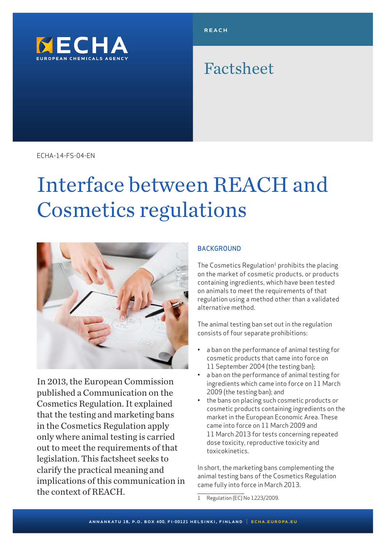

# Factsheet

ECHA-14-FS-04-EN

# Interface between REACH and Cosmetics regulations



In 2013, the European Commission published a Communication on the Cosmetics Regulation. It explained that the testing and marketing bans in the Cosmetics Regulation apply only where animal testing is carried out to meet the requirements of that legislation. This factsheet seeks to clarify the practical meaning and implications of this communication in the context of REACH.

## **BACKGROUND**

The Cosmetics Regulation<sup>1</sup> prohibits the placing on the market of cosmetic products, or products containing ingredients, which have been tested on animals to meet the requirements of that regulation using a method other than a validated alternative method.

The animal testing ban set out in the regulation consists of four separate prohibitions:

- a ban on the performance of animal testing for cosmetic products that came into force on 11 September 2004 (the testing ban);
- a ban on the performance of animal testing for ingredients which came into force on 11 March 2009 (the testing ban); and
- the bans on placing such cosmetic products or cosmetic products containing ingredients on the market in the European Economic Area. These came into force on 11 March 2009 and 11 March 2013 for tests concerning repeated dose toxicity, reproductive toxicity and toxicokinetics.

In short, the marketing bans complementing the animal testing bans of the Cosmetics Regulation came fully into force in March 2013.

1 Regulation (EC) No 1223/2009.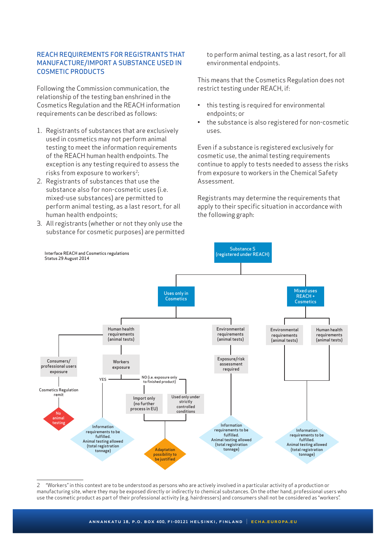#### REACH REQUIREMENTS FOR REGISTRANTS THAT MANUFACTURE/IMPORT A SUBSTANCE USED IN COSMETIC PRODUCTS

Following the Commission communication, the relationship of the testing ban enshrined in the Cosmetics Regulation and the REACH information requirements can be described as follows:

- 1. Registrants of substances that are exclusively used in cosmetics may not perform animal testing to meet the information requirements of the REACH human health endpoints. The exception is any testing required to assess the risks from exposure to workers<sup>2</sup>;
- 2. Registrants of substances that use the substance also for non-cosmetic uses (i.e. mixed-use substances) are permitted to perform animal testing, as a last resort, for all human health endpoints;
- 3. All registrants (whether or not they only use the substance for cosmetic purposes) are permitted

to perform animal testing, as a last resort, for all environmental endpoints.

This means that the Cosmetics Regulation does not restrict testing under REACH, if:

- this testing is required for environmental endpoints; or
- the substance is also registered for non-cosmetic uses.

Even if a substance is registered exclusively for cosmetic use, the animal testing requirements continue to apply to tests needed to assess the risks from exposure to workers in the Chemical Safety Assessment.

Registrants may determine the requirements that apply to their specific situation in accordance with the following graph:



2 "Workers" in this context are to be understood as persons who are actively involved in a particular activity of a production or manufacturing site, where they may be exposed directly or indirectly to chemical substances. On the other hand, professional users who use the cosmetic product as part of their professional activity (e.g. hairdressers) and consumers shall not be considered as "workers".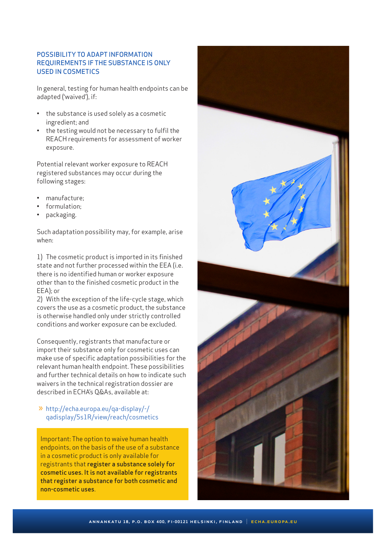#### POSSIBILITY TO ADAPT INFORMATION REQUIREMENTS IF THE SUBSTANCE IS ONLY USED IN COSMETICS

In general, testing for human health endpoints can be adapted ('waived'), if:

- the substance is used solely as a cosmetic ingredient; and
- the testing would not be necessary to fulfil the REACH requirements for assessment of worker exposure.

Potential relevant worker exposure to REACH registered substances may occur during the following stages:

- manufacture;
- formulation;
- packaging.

Such adaptation possibility may, for example, arise when:

1) The cosmetic product is imported in its finished state and not further processed within the EEA (i.e. there is no identified human or worker exposure other than to the finished cosmetic product in the EEA); or

2) With the exception of the life-cycle stage, which covers the use as a cosmetic product, the substance is otherwise handled only under strictly controlled conditions and worker exposure can be excluded.

Consequently, registrants that manufacture or import their substance only for cosmetic uses can make use of specific adaptation possibilities for the relevant human health endpoint. These possibilities and further technical details on how to indicate such waivers in the technical registration dossier are described in ECHA's Q&As, available at:

## » [http://echa.europa.eu/qa-display/-/](http://echa.europa.eu/qa-display/-/qadisplay/5s1R/view/reach/cosmetics) [qadisplay/5s1R/view/reach/cosmetics](http://echa.europa.eu/qa-display/-/qadisplay/5s1R/view/reach/cosmetics)

Important: The option to waive human health endpoints, on the basis of the use of a substance in a cosmetic product is only available for registrants that register a substance solely for cosmetic uses. It is not available for registrants that register a substance for both cosmetic and non-cosmetic uses.